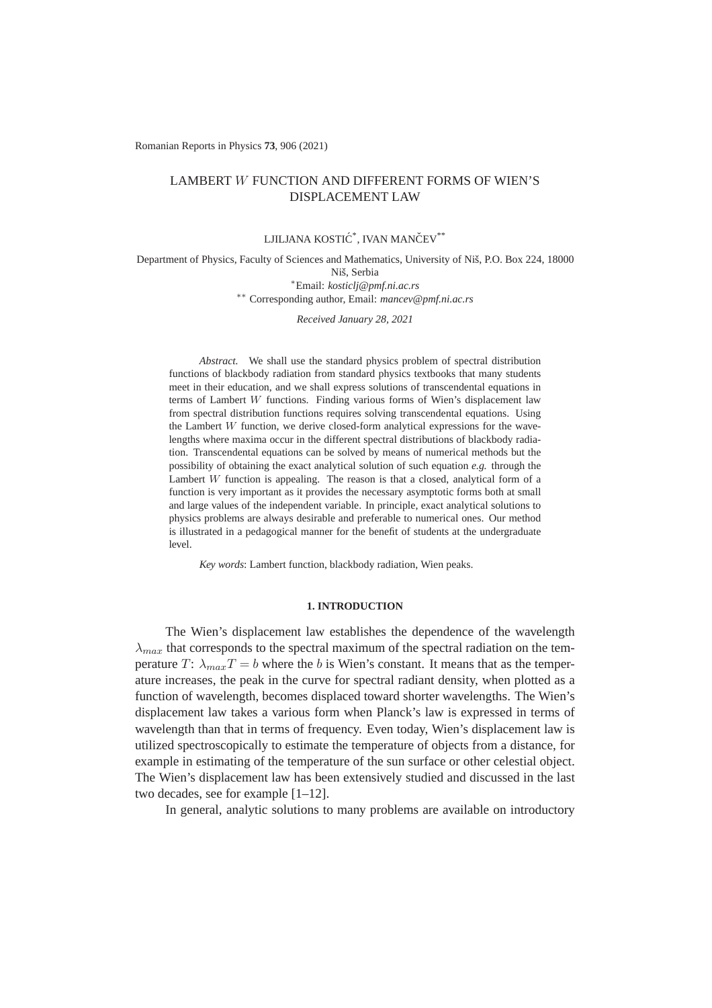Romanian Reports in Physics **73**, 906 (2021)

# LAMBERT W FUNCTION AND DIFFERENT FORMS OF WIEN'S DISPLACEMENT LAW

# LJILJANA KOSTIĆ<sup>\*</sup>, IVAN MANČEV<sup>\*\*</sup>

Department of Physics, Faculty of Sciences and Mathematics, University of Nis, P.O. Box 224, 18000 ˇ Niš, Serbia <sup>∗</sup>Email: *kosticlj@pmf.ni.ac.rs*

∗∗ Corresponding author, Email: *mancev@pmf.ni.ac.rs*

*Received January 28, 2021*

*Abstract.* We shall use the standard physics problem of spectral distribution functions of blackbody radiation from standard physics textbooks that many students meet in their education, and we shall express solutions of transcendental equations in terms of Lambert W functions. Finding various forms of Wien's displacement law from spectral distribution functions requires solving transcendental equations. Using the Lambert  $W$  function, we derive closed-form analytical expressions for the wavelengths where maxima occur in the different spectral distributions of blackbody radiation. Transcendental equations can be solved by means of numerical methods but the possibility of obtaining the exact analytical solution of such equation *e.g.* through the Lambert  $W$  function is appealing. The reason is that a closed, analytical form of a function is very important as it provides the necessary asymptotic forms both at small and large values of the independent variable. In principle, exact analytical solutions to physics problems are always desirable and preferable to numerical ones. Our method is illustrated in a pedagogical manner for the benefit of students at the undergraduate level.

*Key words*: Lambert function, blackbody radiation, Wien peaks.

## **1. INTRODUCTION**

The Wien's displacement law establishes the dependence of the wavelength  $\lambda_{max}$  that corresponds to the spectral maximum of the spectral radiation on the temperature T:  $\lambda_{max}T = b$  where the b is Wien's constant. It means that as the temperature increases, the peak in the curve for spectral radiant density, when plotted as a function of wavelength, becomes displaced toward shorter wavelengths. The Wien's displacement law takes a various form when Planck's law is expressed in terms of wavelength than that in terms of frequency. Even today, Wien's displacement law is utilized spectroscopically to estimate the temperature of objects from a distance, for example in estimating of the temperature of the sun surface or other celestial object. The Wien's displacement law has been extensively studied and discussed in the last two decades, see for example [1–12].

In general, analytic solutions to many problems are available on introductory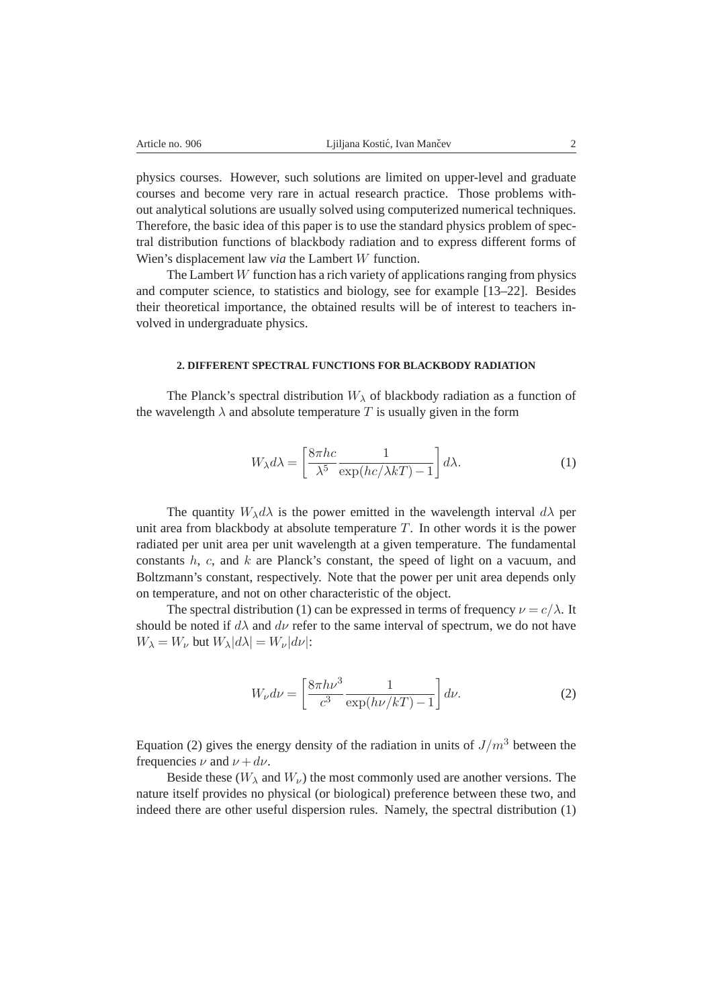physics courses. However, such solutions are limited on upper-level and graduate courses and become very rare in actual research practice. Those problems without analytical solutions are usually solved using computerized numerical techniques. Therefore, the basic idea of this paper is to use the standard physics problem of spectral distribution functions of blackbody radiation and to express different forms of Wien's displacement law *via* the Lambert W function.

The Lambert  $W$  function has a rich variety of applications ranging from physics and computer science, to statistics and biology, see for example [13–22]. Besides their theoretical importance, the obtained results will be of interest to teachers involved in undergraduate physics.

## **2. DIFFERENT SPECTRAL FUNCTIONS FOR BLACKBODY RADIATION**

The Planck's spectral distribution  $W_{\lambda}$  of blackbody radiation as a function of the wavelength  $\lambda$  and absolute temperature T is usually given in the form

$$
W_{\lambda}d\lambda = \left[\frac{8\pi hc}{\lambda^5} \frac{1}{\exp(hc/\lambda kT) - 1}\right]d\lambda.
$$
 (1)

The quantity  $W_{\lambda}d\lambda$  is the power emitted in the wavelength interval  $d\lambda$  per unit area from blackbody at absolute temperature  $T$ . In other words it is the power radiated per unit area per unit wavelength at a given temperature. The fundamental constants  $h, c,$  and  $k$  are Planck's constant, the speed of light on a vacuum, and Boltzmann's constant, respectively. Note that the power per unit area depends only on temperature, and not on other characteristic of the object.

The spectral distribution (1) can be expressed in terms of frequency  $\nu = c/\lambda$ . It should be noted if  $d\lambda$  and  $d\nu$  refer to the same interval of spectrum, we do not have  $W_{\lambda} = W_{\nu}$  but  $W_{\lambda} |d\lambda| = W_{\nu} |d\nu|$ :

$$
W_{\nu}d\nu = \left[\frac{8\pi h\nu^3}{c^3} \frac{1}{\exp(h\nu/kT) - 1}\right]d\nu.
$$
 (2)

Equation (2) gives the energy density of the radiation in units of  $J/m<sup>3</sup>$  between the frequencies  $\nu$  and  $\nu + d\nu$ .

Beside these ( $W_{\lambda}$  and  $W_{\nu}$ ) the most commonly used are another versions. The nature itself provides no physical (or biological) preference between these two, and indeed there are other useful dispersion rules. Namely, the spectral distribution (1)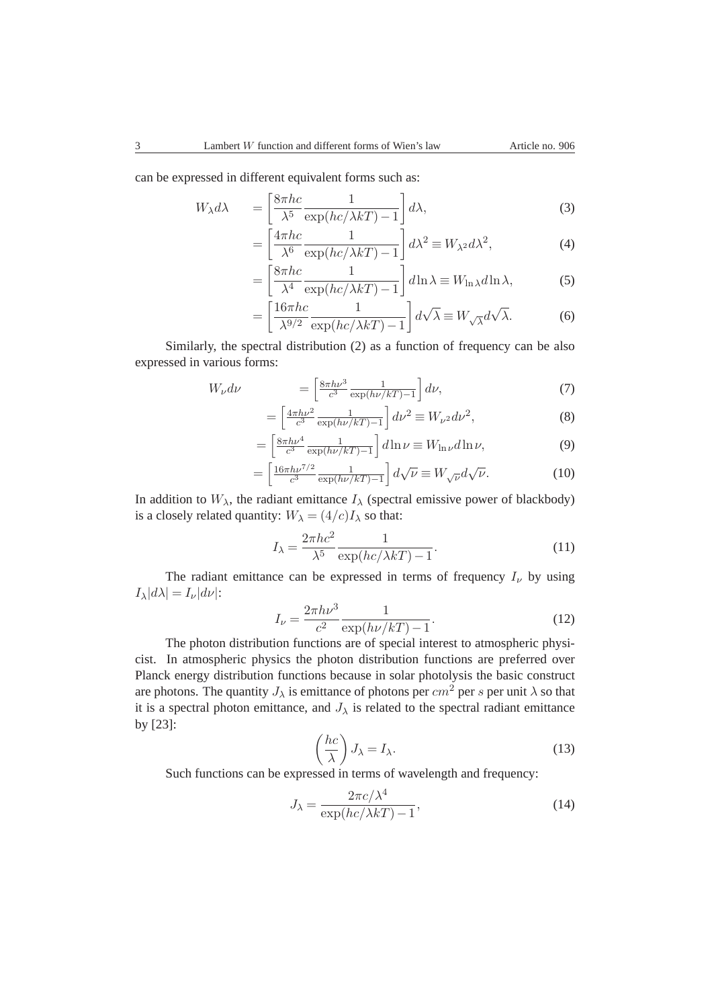can be expressed in different equivalent forms such as:

$$
W_{\lambda}d\lambda = \left[\frac{8\pi hc}{\lambda^5} \frac{1}{\exp(hc/\lambda kT) - 1}\right] d\lambda, \tag{3}
$$

$$
= \left[\frac{4\pi hc}{\lambda^6} \frac{1}{\exp(hc/\lambda kT) - 1}\right] d\lambda^2 \equiv W_{\lambda^2} d\lambda^2,
$$
 (4)

$$
= \left[\frac{8\pi hc}{\lambda^4} \frac{1}{\exp(hc/\lambda kT) - 1}\right] d\ln\lambda \equiv W_{\ln\lambda} d\ln\lambda,\tag{5}
$$

$$
= \left[\frac{16\pi hc}{\lambda^{9/2}} \frac{1}{\exp(hc/\lambda kT) - 1}\right] d\sqrt{\lambda} \equiv W_{\sqrt{\lambda}} d\sqrt{\lambda}.
$$
 (6)

Similarly, the spectral distribution (2) as a function of frequency can be also expressed in various forms:

$$
W_{\nu}d\nu = \left[\frac{8\pi h\nu^3}{c^3} \frac{1}{\exp(h\nu/kT) - 1}\right]d\nu,
$$
\n(7)

$$
= \left[\frac{4\pi h\nu^2}{c^3} \frac{1}{\exp(h\nu/kT) - 1}\right] d\nu^2 \equiv W_{\nu^2} d\nu^2,\tag{8}
$$

$$
= \left[\frac{8\pi h\nu^4}{c^3} \frac{1}{\exp(h\nu/kT) - 1}\right] d\ln \nu \equiv W_{\ln \nu} d\ln \nu,\tag{9}
$$

$$
= \left[\frac{16\pi h\nu^{7/2}}{c^3} \frac{1}{\exp(h\nu/kT) - 1}\right] d\sqrt{\nu} \equiv W_{\sqrt{\nu}} d\sqrt{\nu}.
$$
 (10)

In addition to  $W_{\lambda}$ , the radiant emittance  $I_{\lambda}$  (spectral emissive power of blackbody) is a closely related quantity:  $W_{\lambda} = (4/c)I_{\lambda}$  so that:

$$
I_{\lambda} = \frac{2\pi hc^2}{\lambda^5} \frac{1}{\exp(hc/\lambda kT) - 1}.
$$
 (11)

The radiant emittance can be expressed in terms of frequency  $I_{\nu}$  by using  $I_{\lambda}|d\lambda| = I_{\nu}|d\nu|$ :

$$
I_{\nu} = \frac{2\pi h\nu^3}{c^2} \frac{1}{\exp(h\nu/kT) - 1}.
$$
 (12)

The photon distribution functions are of special interest to atmospheric physicist. In atmospheric physics the photon distribution functions are preferred over Planck energy distribution functions because in solar photolysis the basic construct are photons. The quantity  $J_{\lambda}$  is emittance of photons per cm<sup>2</sup> per s per unit  $\lambda$  so that it is a spectral photon emittance, and  $J_{\lambda}$  is related to the spectral radiant emittance by [23]:

$$
\left(\frac{hc}{\lambda}\right)J_{\lambda} = I_{\lambda}.\tag{13}
$$

Such functions can be expressed in terms of wavelength and frequency:

$$
J_{\lambda} = \frac{2\pi c/\lambda^4}{\exp(hc/\lambda kT) - 1},\tag{14}
$$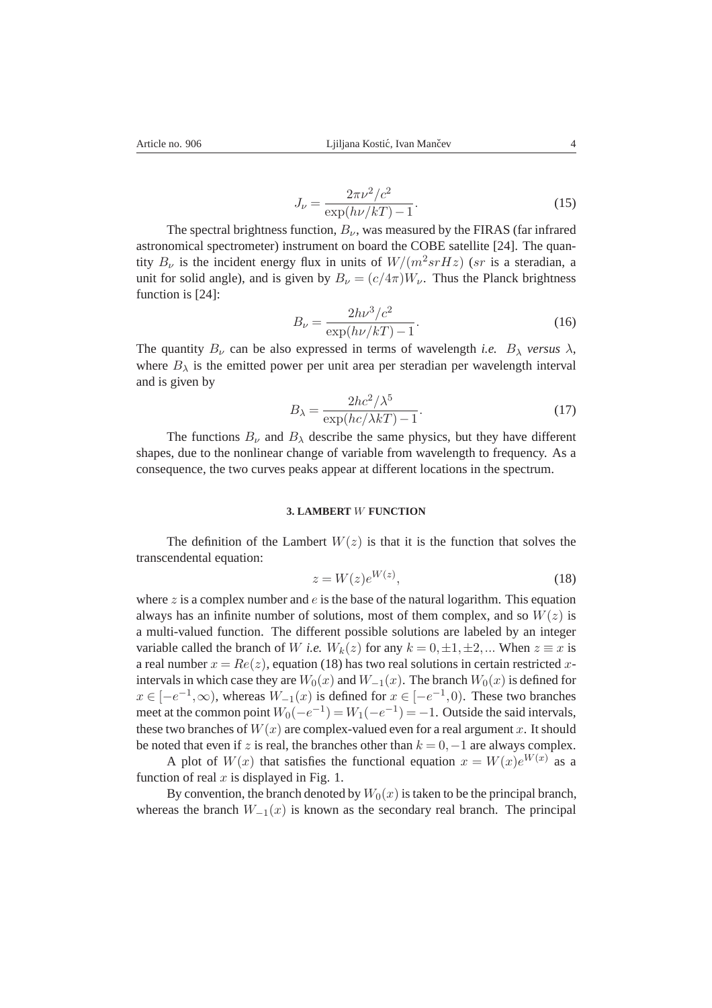$$
J_{\nu} = \frac{2\pi\nu^2/c^2}{\exp(h\nu/kT) - 1}.
$$
 (15)

The spectral brightness function,  $B_{\nu}$ , was measured by the FIRAS (far infrared astronomical spectrometer) instrument on board the COBE satellite [24]. The quantity  $B_{\nu}$  is the incident energy flux in units of  $W/(m^2srHz)$  (sr is a steradian, a unit for solid angle), and is given by  $B_{\nu} = (c/4\pi)W_{\nu}$ . Thus the Planck brightness function is [24]:

$$
B_{\nu} = \frac{2h\nu^3/c^2}{\exp(h\nu/kT) - 1}.
$$
\n(16)

The quantity  $B_{\nu}$  can be also expressed in terms of wavelength *i.e.*  $B_{\lambda}$  *versus*  $\lambda$ , where  $B_{\lambda}$  is the emitted power per unit area per steradian per wavelength interval and is given by

$$
B_{\lambda} = \frac{2hc^2/\lambda^5}{\exp(hc/\lambda kT) - 1}.
$$
\n(17)

The functions  $B_{\nu}$  and  $B_{\lambda}$  describe the same physics, but they have different shapes, due to the nonlinear change of variable from wavelength to frequency. As a consequence, the two curves peaks appear at different locations in the spectrum.

#### **3. LAMBERT** W **FUNCTION**

The definition of the Lambert  $W(z)$  is that it is the function that solves the transcendental equation:

$$
z = W(z)e^{W(z)},\tag{18}
$$

where  $z$  is a complex number and  $e$  is the base of the natural logarithm. This equation always has an infinite number of solutions, most of them complex, and so  $W(z)$  is a multi-valued function. The different possible solutions are labeled by an integer variable called the branch of W *i.e.*  $W_k(z)$  for any  $k = 0, \pm 1, \pm 2, ...$  When  $z \equiv x$  is a real number  $x = Re(z)$ , equation (18) has two real solutions in certain restricted xintervals in which case they are  $W_0(x)$  and  $W_{-1}(x)$ . The branch  $W_0(x)$  is defined for  $x \in [-e^{-1}, \infty)$ , whereas  $W_{-1}(x)$  is defined for  $x \in [-e^{-1}, 0)$ . These two branches meet at the common point  $W_0(-e^{-1}) = W_1(-e^{-1}) = -1$ . Outside the said intervals, these two branches of  $W(x)$  are complex-valued even for a real argument x. It should be noted that even if z is real, the branches other than  $k = 0, -1$  are always complex.

A plot of  $W(x)$  that satisfies the functional equation  $x = W(x)e^{W(x)}$  as a function of real  $x$  is displayed in Fig. 1.

By convention, the branch denoted by  $W_0(x)$  is taken to be the principal branch, whereas the branch  $W_{-1}(x)$  is known as the secondary real branch. The principal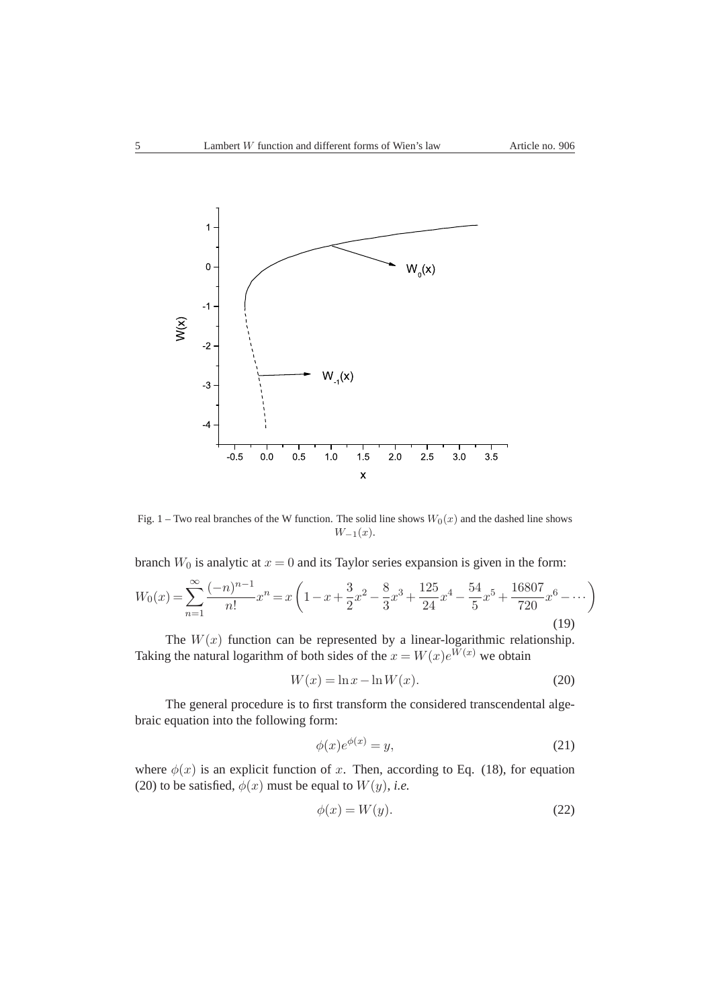

Fig. 1 – Two real branches of the W function. The solid line shows  $W_0(x)$  and the dashed line shows  $W_{-1}(x)$ .

branch  $W_0$  is analytic at  $x = 0$  and its Taylor series expansion is given in the form:

$$
W_0(x) = \sum_{n=1}^{\infty} \frac{(-n)^{n-1}}{n!} x^n = x \left( 1 - x + \frac{3}{2} x^2 - \frac{8}{3} x^3 + \frac{125}{24} x^4 - \frac{54}{5} x^5 + \frac{16807}{720} x^6 - \dotsb \right)
$$
\n(19)

The  $W(x)$  function can be represented by a linear-logarithmic relationship. Taking the natural logarithm of both sides of the  $x = W(x)e^{W(x)}$  we obtain

$$
W(x) = \ln x - \ln W(x). \tag{20}
$$

The general procedure is to first transform the considered transcendental algebraic equation into the following form:

$$
\phi(x)e^{\phi(x)} = y,\tag{21}
$$

where  $\phi(x)$  is an explicit function of x. Then, according to Eq. (18), for equation (20) to be satisfied,  $\phi(x)$  must be equal to  $W(y)$ , *i.e.* 

$$
\phi(x) = W(y). \tag{22}
$$

 $\mathbb{Z}^2$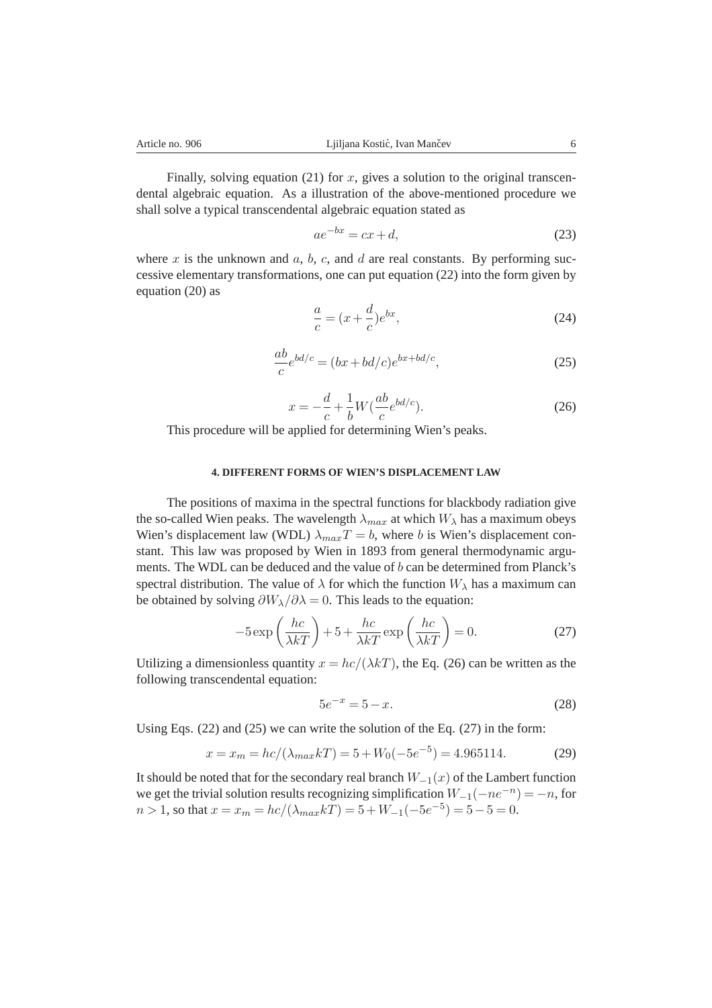Finally, solving equation (21) for x, gives a solution to the original transcendental algebraic equation. As a illustration of the above-mentioned procedure we shall solve a typical transcendental algebraic equation stated as

$$
ae^{-bx} = cx + d,\t\t(23)
$$

where x is the unknown and a, b, c, and d are real constants. By performing successive elementary transformations, one can put equation (22) into the form given by equation (20) as

$$
\frac{a}{c} = (x + \frac{d}{c})e^{bx},\tag{24}
$$

$$
\frac{ab}{c}e^{bd/c} = (bx + bd/c)e^{bx + bd/c},\tag{25}
$$

$$
x = -\frac{d}{c} + \frac{1}{b}W(\frac{ab}{c}e^{bd/c}).
$$
\n(26)

This procedure will be applied for determining Wien's peaks.

### **4. DIFFERENT FORMS OF WIEN'S DISPLACEMENT LAW**

The positions of maxima in the spectral functions for blackbody radiation give the so-called Wien peaks. The wavelength  $\lambda_{max}$  at which  $W_{\lambda}$  has a maximum obeys Wien's displacement law (WDL)  $\lambda_{max}T = b$ , where b is Wien's displacement constant. This law was proposed by Wien in 1893 from general thermodynamic arguments. The WDL can be deduced and the value of b can be determined from Planck's spectral distribution. The value of  $\lambda$  for which the function  $W_{\lambda}$  has a maximum can be obtained by solving  $\partial W_{\lambda}/\partial \lambda = 0$ . This leads to the equation:

$$
-5\exp\left(\frac{hc}{\lambda kT}\right) + 5 + \frac{hc}{\lambda kT} \exp\left(\frac{hc}{\lambda kT}\right) = 0.
$$
 (27)

Utilizing a dimensionless quantity  $x = hc/(\lambda kT)$ , the Eq. (26) can be written as the following transcendental equation:

$$
5e^{-x} = 5 - x.\t(28)
$$

Using Eqs.  $(22)$  and  $(25)$  we can write the solution of the Eq.  $(27)$  in the form:

$$
x = x_m = hc/(\lambda_{max} kT) = 5 + W_0(-5e^{-5}) = 4.965114.
$$
 (29)

It should be noted that for the secondary real branch  $W_{-1}(x)$  of the Lambert function we get the trivial solution results recognizing simplification  $W_{-1}(-ne^{-n}) = -n$ , for  $n > 1$ , so that  $x = x_m = hc/(\lambda_{max}kT) = 5 + W_{-1}(-5e^{-5}) = 5 - 5 = 0$ .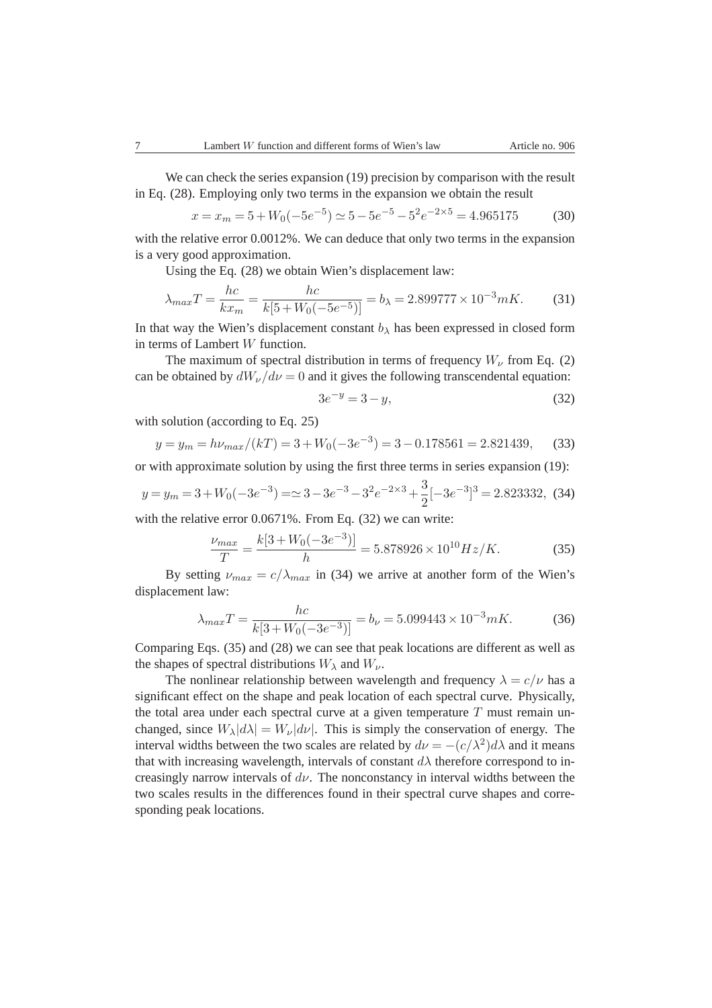We can check the series expansion (19) precision by comparison with the result in Eq. (28). Employing only two terms in the expansion we obtain the result

$$
x = x_m = 5 + W_0(-5e^{-5}) \approx 5 - 5e^{-5} - 5^2e^{-2 \times 5} = 4.965175
$$
 (30)

with the relative error 0.0012%. We can deduce that only two terms in the expansion is a very good approximation.

Using the Eq. (28) we obtain Wien's displacement law:

$$
\lambda_{max}T = \frac{hc}{kx_m} = \frac{hc}{k[5 + W_0(-5e^{-5})]} = b_{\lambda} = 2.899777 \times 10^{-3} mK. \tag{31}
$$

In that way the Wien's displacement constant  $b_{\lambda}$  has been expressed in closed form in terms of Lambert W function.

The maximum of spectral distribution in terms of frequency  $W_{\nu}$  from Eq. (2) can be obtained by  $dW_v/dv = 0$  and it gives the following transcendental equation:

$$
3e^{-y} = 3 - y,\t\t(32)
$$

with solution (according to Eq. 25)

$$
y = y_m = h\nu_{max}/(kT) = 3 + W_0(-3e^{-3}) = 3 - 0.178561 = 2.821439,\tag{33}
$$

or with approximate solution by using the first three terms in series expansion (19):

$$
y = y_m = 3 + W_0(-3e^{-3}) = 28 - 3e^{-3} - 3e^{-2 \times 3} + \frac{3}{2}[-3e^{-3}]^3 = 2.823332, \tag{34}
$$

with the relative error 0.0671%. From Eq. (32) we can write:

$$
\frac{\nu_{max}}{T} = \frac{k[3 + W_0(-3e^{-3})]}{h} = 5.878926 \times 10^{10} Hz/K.
$$
 (35)

By setting  $\nu_{max} = c/\lambda_{max}$  in (34) we arrive at another form of the Wien's displacement law:

$$
\lambda_{max}T = \frac{hc}{k[3 + W_0(-3e^{-3})]} = b_{\nu} = 5.099443 \times 10^{-3} mK. \tag{36}
$$

Comparing Eqs. (35) and (28) we can see that peak locations are different as well as the shapes of spectral distributions  $W_{\lambda}$  and  $W_{\nu}$ .

The nonlinear relationship between wavelength and frequency  $\lambda = c/\nu$  has a significant effect on the shape and peak location of each spectral curve. Physically, the total area under each spectral curve at a given temperature  $T$  must remain unchanged, since  $W_{\lambda} |d\lambda| = W_{\nu} |d\nu|$ . This is simply the conservation of energy. The interval widths between the two scales are related by  $d\nu = -(c/\lambda^2)d\lambda$  and it means that with increasing wavelength, intervals of constant  $d\lambda$  therefore correspond to increasingly narrow intervals of  $d\nu$ . The nonconstancy in interval widths between the two scales results in the differences found in their spectral curve shapes and corresponding peak locations.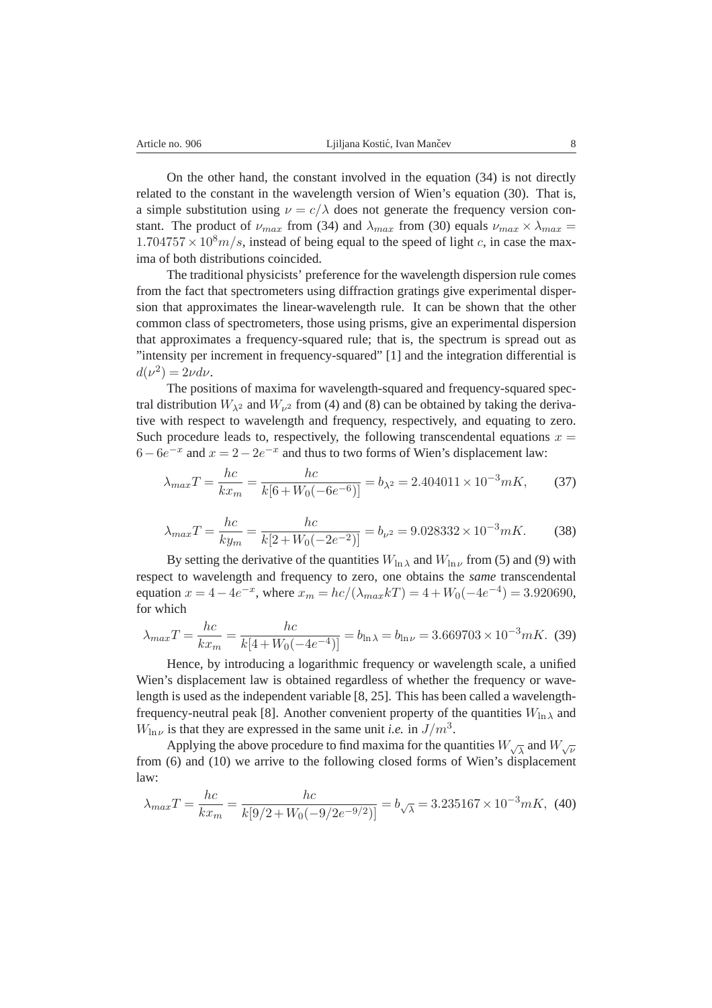On the other hand, the constant involved in the equation (34) is not directly related to the constant in the wavelength version of Wien's equation (30). That is, a simple substitution using  $\nu = c/\lambda$  does not generate the frequency version constant. The product of  $\nu_{max}$  from (34) and  $\lambda_{max}$  from (30) equals  $\nu_{max} \times \lambda_{max} =$  $1.704757 \times 10^8 m/s$ , instead of being equal to the speed of light c, in case the maxima of both distributions coincided.

The traditional physicists' preference for the wavelength dispersion rule comes from the fact that spectrometers using diffraction gratings give experimental dispersion that approximates the linear-wavelength rule. It can be shown that the other common class of spectrometers, those using prisms, give an experimental dispersion that approximates a frequency-squared rule; that is, the spectrum is spread out as "intensity per increment in frequency-squared" [1] and the integration differential is  $d(\nu^2) = 2\nu d\nu.$ 

The positions of maxima for wavelength-squared and frequency-squared spectral distribution  $W_{\lambda^2}$  and  $W_{\nu^2}$  from (4) and (8) can be obtained by taking the derivative with respect to wavelength and frequency, respectively, and equating to zero. Such procedure leads to, respectively, the following transcendental equations  $x =$  $6-6e^{-x}$  and  $x = 2-2e^{-x}$  and thus to two forms of Wien's displacement law:

$$
\lambda_{max} T = \frac{hc}{k x_m} = \frac{hc}{k[6 + W_0(-6e^{-6})]} = b_{\lambda^2} = 2.404011 \times 10^{-3} mK,
$$
 (37)

$$
\lambda_{max}T = \frac{hc}{ky_m} = \frac{hc}{k[2 + W_0(-2e^{-2})]} = b_{\nu^2} = 9.028332 \times 10^{-3} mK. \tag{38}
$$

By setting the derivative of the quantities  $W_{\ln \lambda}$  and  $W_{\ln \nu}$  from (5) and (9) with respect to wavelength and frequency to zero, one obtains the *same* transcendental equation  $x = 4 - 4e^{-x}$ , where  $x_m = hc/(\lambda_{max}kT) = 4 + W_0(-4e^{-4}) = 3.920690$ , for which

$$
\lambda_{max}T = \frac{hc}{kx_m} = \frac{hc}{k[4 + W_0(-4e^{-4})]} = b_{\ln \lambda} = b_{\ln \nu} = 3.669703 \times 10^{-3} mK. \tag{39}
$$

Hence, by introducing a logarithmic frequency or wavelength scale, a unified Wien's displacement law is obtained regardless of whether the frequency or wavelength is used as the independent variable [8, 25]. This has been called a wavelengthfrequency-neutral peak [8]. Another convenient property of the quantities  $W_{\ln\lambda}$  and  $W_{\ln \nu}$  is that they are expressed in the same unit *i.e.* in  $J/m^3$ .

Applying the above procedure to find maxima for the quantities  $W_{\sqrt{\lambda}}$  and  $W_{\sqrt{\nu}}$ from (6) and (10) we arrive to the following closed forms of Wien's displacement law:

$$
\lambda_{max}T = \frac{hc}{kx_m} = \frac{hc}{k[9/2 + W_0(-9/2e^{-9/2})]} = b_{\sqrt{\lambda}} = 3.235167 \times 10^{-3} mK, \tag{40}
$$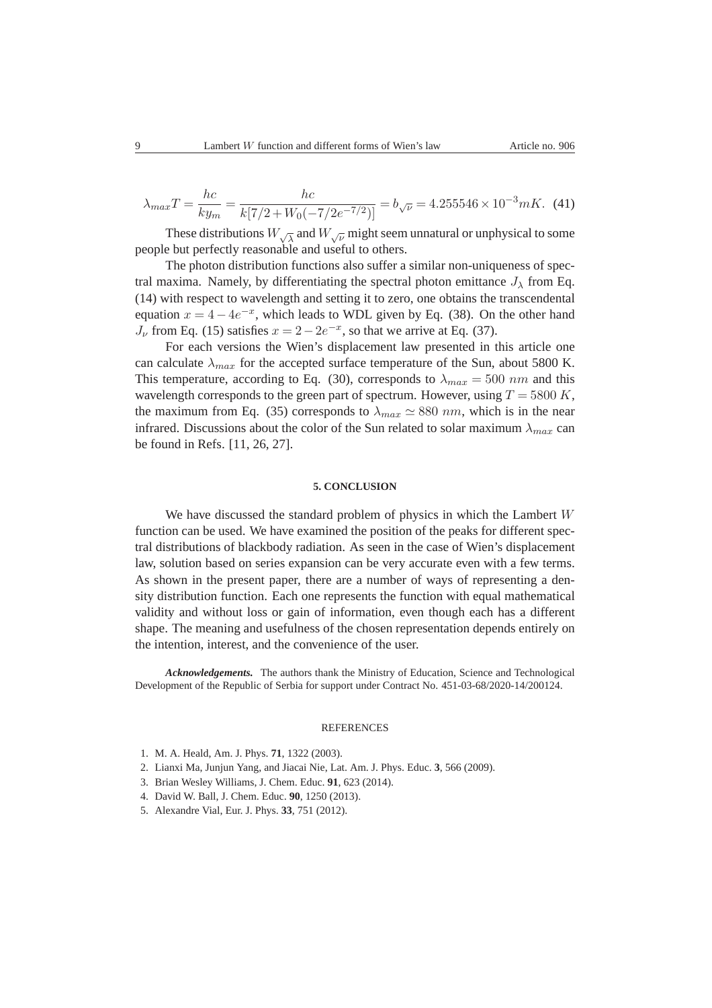$$
\lambda_{max}T = \frac{hc}{ky_m} = \frac{hc}{k[7/2 + W_0(-7/2e^{-7/2})]} = b_{\sqrt{\nu}} = 4.255546 \times 10^{-3} mK. \tag{41}
$$

These distributions  $W_{\sqrt{\lambda}}$  and  $W_{\sqrt{\nu}}$  might seem unnatural or unphysical to some people but perfectly reasonable and useful to others.

The photon distribution functions also suffer a similar non-uniqueness of spectral maxima. Namely, by differentiating the spectral photon emittance  $J_{\lambda}$  from Eq. (14) with respect to wavelength and setting it to zero, one obtains the transcendental equation  $x = 4 - 4e^{-x}$ , which leads to WDL given by Eq. (38). On the other hand  $J_{\nu}$  from Eq. (15) satisfies  $x = 2 - 2e^{-x}$ , so that we arrive at Eq. (37).

For each versions the Wien's displacement law presented in this article one can calculate  $\lambda_{max}$  for the accepted surface temperature of the Sun, about 5800 K. This temperature, according to Eq. (30), corresponds to  $\lambda_{max} = 500$  nm and this wavelength corresponds to the green part of spectrum. However, using  $T = 5800 K$ , the maximum from Eq. (35) corresponds to  $\lambda_{max} \approx 880$  nm, which is in the near infrared. Discussions about the color of the Sun related to solar maximum  $\lambda_{max}$  can be found in Refs. [11, 26, 27].

#### **5. CONCLUSION**

We have discussed the standard problem of physics in which the Lambert W function can be used. We have examined the position of the peaks for different spectral distributions of blackbody radiation. As seen in the case of Wien's displacement law, solution based on series expansion can be very accurate even with a few terms. As shown in the present paper, there are a number of ways of representing a density distribution function. Each one represents the function with equal mathematical validity and without loss or gain of information, even though each has a different shape. The meaning and usefulness of the chosen representation depends entirely on the intention, interest, and the convenience of the user.

*Acknowledgements.* The authors thank the Ministry of Education, Science and Technological Development of the Republic of Serbia for support under Contract No. 451-03-68/2020-14/200124.

#### **REFERENCES**

- 1. M. A. Heald, Am. J. Phys. **71**, 1322 (2003).
- 2. Lianxi Ma, Junjun Yang, and Jiacai Nie, Lat. Am. J. Phys. Educ. **3**, 566 (2009).
- 3. Brian Wesley Williams, J. Chem. Educ. **91**, 623 (2014).
- 4. David W. Ball, J. Chem. Educ. **90**, 1250 (2013).
- 5. Alexandre Vial, Eur. J. Phys. **33**, 751 (2012).